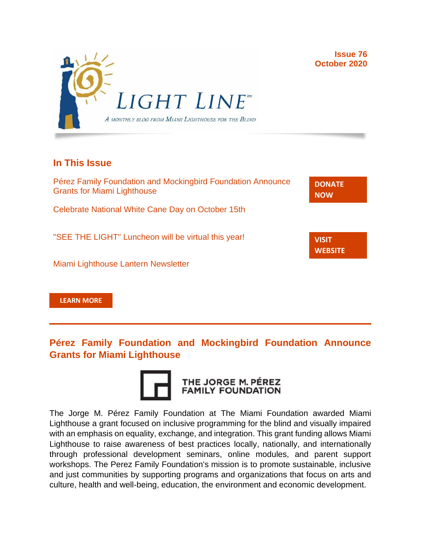

## **In This Issue**

| Pérez Family Foundation and Mockingbird Foundation Announce<br><b>Grants for Miami Lighthouse</b> | <b>DONATE</b><br><b>NOW</b>    |
|---------------------------------------------------------------------------------------------------|--------------------------------|
| Celebrate National White Cane Day on October 15th                                                 |                                |
| "SEE THE LIGHT" Luncheon will be virtual this year!                                               | <b>VISIT</b><br><b>WEBSITE</b> |
| Miami Lighthouse Lantern Newsletter                                                               |                                |

**[LEARN MORE](http://www.miamilighthouse.org)**

**Pérez Family Foundation and Mockingbird Foundation Announce Grants for Miami Lighthouse**



The Jorge M. Pérez Family Foundation at The Miami Foundation awarded Miami Lighthouse a grant focused on inclusive programming for the blind and visually impaired with an emphasis on equality, exchange, and integration. This grant funding allows Miami Lighthouse to raise awareness of best practices locally, nationally, and internationally through professional development seminars, online modules, and parent support workshops. The Perez Family Foundation's mission is to promote sustainable, inclusive and just communities by supporting programs and organizations that focus on arts and culture, health and well-being, education, the environment and economic development.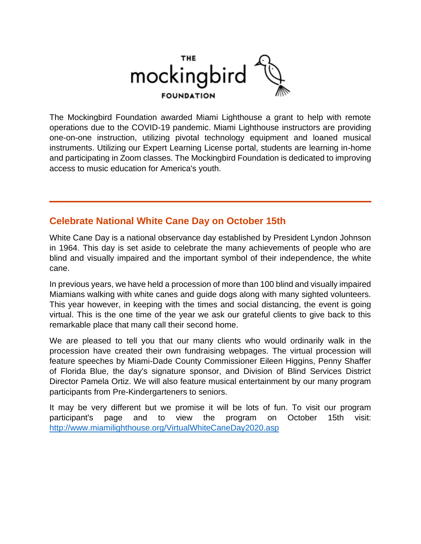

The Mockingbird Foundation awarded Miami Lighthouse a grant to help with remote operations due to the COVID-19 pandemic. Miami Lighthouse instructors are providing one-on-one instruction, utilizing pivotal technology equipment and loaned musical instruments. Utilizing our Expert Learning License portal, students are learning in-home and participating in Zoom classes. The Mockingbird Foundation is dedicated to improving access to music education for America's youth.

## **Celebrate National White Cane Day on October 15th**

White Cane Day is a national observance day established by President Lyndon Johnson in 1964. This day is set aside to celebrate the many achievements of people who are blind and visually impaired and the important symbol of their independence, the white cane.

In previous years, we have held a procession of more than 100 blind and visually impaired Miamians walking with white canes and guide dogs along with many sighted volunteers. This year however, in keeping with the times and social distancing, the event is going virtual. This is the one time of the year we ask our grateful clients to give back to this remarkable place that many call their second home.

We are pleased to tell you that our many clients who would ordinarily walk in the procession have created their own fundraising webpages. The virtual procession will feature speeches by Miami-Dade County Commissioner Eileen Higgins, Penny Shaffer of Florida Blue, the day's signature sponsor, and Division of Blind Services District Director Pamela Ortiz. We will also feature musical entertainment by our many program participants from Pre-Kindergarteners to seniors.

It may be very different but we promise it will be lots of fun. To visit our program participant's page and to view the program on October 15th visit: <http://www.miamilighthouse.org/VirtualWhiteCaneDay2020.asp>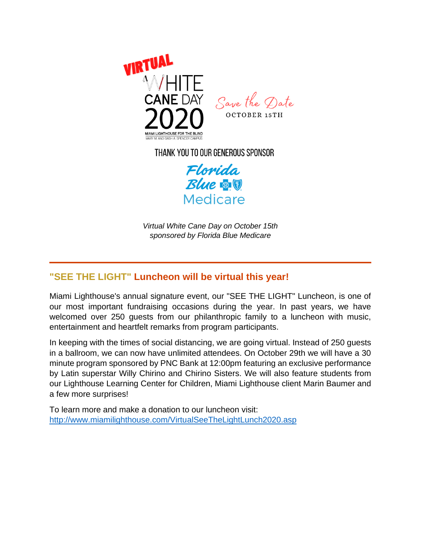

THANK YOU TO OUR GENEROUS SPONSOR

Florida **Blue & V** Medicare

*Virtual White Cane Day on October 15th sponsored by Florida Blue Medicare*

# **"SEE THE LIGHT" Luncheon will be virtual this year!**

Miami Lighthouse's annual signature event, our "SEE THE LIGHT" Luncheon, is one of our most important fundraising occasions during the year. In past years, we have welcomed over 250 guests from our philanthropic family to a luncheon with music, entertainment and heartfelt remarks from program participants.

In keeping with the times of social distancing, we are going virtual. Instead of 250 guests in a ballroom, we can now have unlimited attendees. On October 29th we will have a 30 minute program sponsored by PNC Bank at 12:00pm featuring an exclusive performance by Latin superstar Willy Chirino and Chirino Sisters. We will also feature students from our Lighthouse Learning Center for Children, Miami Lighthouse client Marin Baumer and a few more surprises!

To learn more and make a donation to our luncheon visit: <http://www.miamilighthouse.com/VirtualSeeTheLightLunch2020.asp>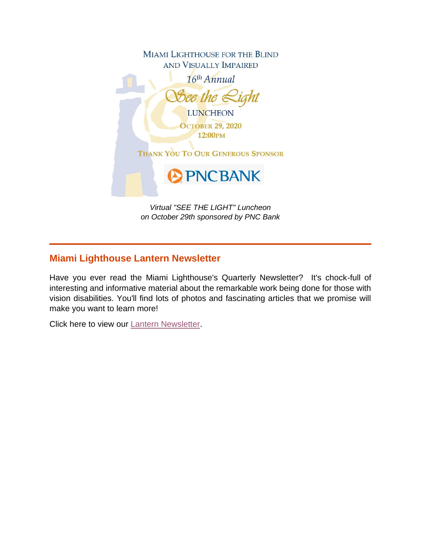

# **Miami Lighthouse Lantern Newsletter**

Have you ever read the Miami Lighthouse's Quarterly Newsletter? It's chock-full of interesting and informative material about the remarkable work being done for those with vision disabilities. You'll find lots of photos and fascinating articles that we promise will make you want to learn more!

Click here to view our [Lantern Newsletter.](http://miamilighthouse.org/Docs/Lantern%20Newsletter%20Fall%202020%20for%20web.pdf)